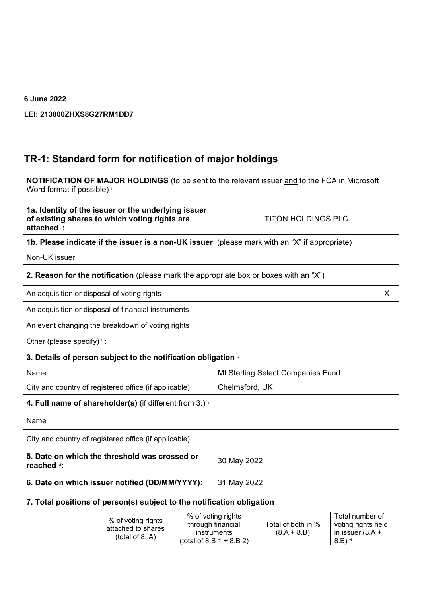## **6 June 2022**

## **LEI: 213800ZHXS8G27RM1DD7**

## **TR-1: Standard form for notification of major holdings**

**NOTIFICATION OF MAJOR HOLDINGS** (to be sent to the relevant issuer and to the FCA in Microsoft Word format if possible) i

| 1a. Identity of the issuer or the underlying issuer<br>of existing shares to which voting rights are<br>attached i: |                                                                                               |  | <b>TITON HOLDINGS PLC</b>                                                             |                                     |                                                                         |
|---------------------------------------------------------------------------------------------------------------------|-----------------------------------------------------------------------------------------------|--|---------------------------------------------------------------------------------------|-------------------------------------|-------------------------------------------------------------------------|
|                                                                                                                     | 1b. Please indicate if the issuer is a non-UK issuer (please mark with an "X" if appropriate) |  |                                                                                       |                                     |                                                                         |
| Non-UK issuer                                                                                                       |                                                                                               |  |                                                                                       |                                     |                                                                         |
|                                                                                                                     | 2. Reason for the notification (please mark the appropriate box or boxes with an "X")         |  |                                                                                       |                                     |                                                                         |
| An acquisition or disposal of voting rights                                                                         |                                                                                               |  | X                                                                                     |                                     |                                                                         |
|                                                                                                                     | An acquisition or disposal of financial instruments                                           |  |                                                                                       |                                     |                                                                         |
|                                                                                                                     | An event changing the breakdown of voting rights                                              |  |                                                                                       |                                     |                                                                         |
| Other (please specify) iii:                                                                                         |                                                                                               |  |                                                                                       |                                     |                                                                         |
|                                                                                                                     | 3. Details of person subject to the notification obligation $\dot{ }$                         |  |                                                                                       |                                     |                                                                         |
| Name                                                                                                                |                                                                                               |  | MI Sterling Select Companies Fund                                                     |                                     |                                                                         |
| City and country of registered office (if applicable)                                                               |                                                                                               |  | Chelmsford, UK                                                                        |                                     |                                                                         |
|                                                                                                                     | 4. Full name of shareholder(s) (if different from 3.) $\gamma$                                |  |                                                                                       |                                     |                                                                         |
| Name                                                                                                                |                                                                                               |  |                                                                                       |                                     |                                                                         |
| City and country of registered office (if applicable)                                                               |                                                                                               |  |                                                                                       |                                     |                                                                         |
| 5. Date on which the threshold was crossed or<br>reached vi:                                                        |                                                                                               |  | 30 May 2022                                                                           |                                     |                                                                         |
| 6. Date on which issuer notified (DD/MM/YYYY):                                                                      |                                                                                               |  | 31 May 2022                                                                           |                                     |                                                                         |
| 7. Total positions of person(s) subject to the notification obligation                                              |                                                                                               |  |                                                                                       |                                     |                                                                         |
|                                                                                                                     | % of voting rights<br>attached to shares<br>(total of 8. A)                                   |  | % of voting rights<br>through financial<br>instruments<br>(total of 8.B $1 + 8.B 2$ ) | Total of both in %<br>$(8.A + 8.B)$ | Total number of<br>voting rights held<br>in issuer $(8.A +$<br>8.B) vii |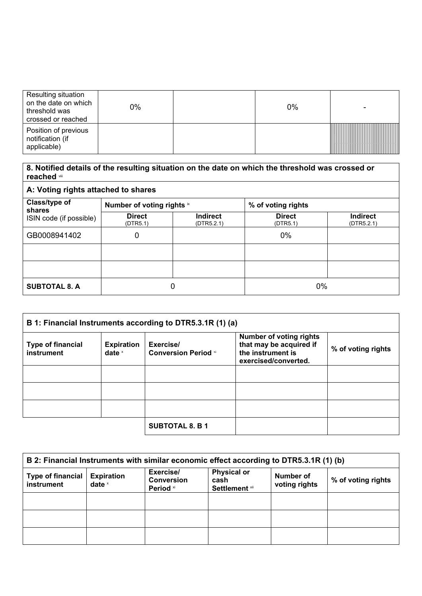| Resulting situation<br>on the date on which<br>threshold was<br>crossed or reached | 0% | 0% |  |
|------------------------------------------------------------------------------------|----|----|--|
| Position of previous<br>notification (if<br>applicable)                            |    |    |  |

| 8. Notified details of the resulting situation on the date on which the threshold was crossed or<br>reached viii |                            |                               |                           |                               |
|------------------------------------------------------------------------------------------------------------------|----------------------------|-------------------------------|---------------------------|-------------------------------|
| A: Voting rights attached to shares                                                                              |                            |                               |                           |                               |
| Class/type of                                                                                                    | Number of voting rights ix |                               | % of voting rights        |                               |
| shares<br>ISIN code (if possible)                                                                                | <b>Direct</b><br>(DTR5.1)  | <b>Indirect</b><br>(DTR5.2.1) | <b>Direct</b><br>(DTR5.1) | <b>Indirect</b><br>(DTR5.2.1) |
| GB0008941402                                                                                                     | 0                          |                               | 0%                        |                               |
|                                                                                                                  |                            |                               |                           |                               |
|                                                                                                                  |                            |                               |                           |                               |
| <b>SUBTOTAL 8. A</b>                                                                                             | 0                          |                               | $0\%$                     |                               |

| B 1: Financial Instruments according to DTR5.3.1R (1) (a)               |  |                                          |                                                                                                        |                    |
|-------------------------------------------------------------------------|--|------------------------------------------|--------------------------------------------------------------------------------------------------------|--------------------|
| <b>Type of financial</b><br><b>Expiration</b><br>instrument<br>date $x$ |  | Exercise/<br><b>Conversion Period</b> xi | <b>Number of voting rights</b><br>that may be acquired if<br>the instrument is<br>exercised/converted. | % of voting rights |
|                                                                         |  |                                          |                                                                                                        |                    |
|                                                                         |  |                                          |                                                                                                        |                    |
|                                                                         |  |                                          |                                                                                                        |                    |
|                                                                         |  | <b>SUBTOTAL 8. B 1</b>                   |                                                                                                        |                    |

| B 2: Financial Instruments with similar economic effect according to DTR5.3.1R (1) (b) |                               |                                             |                                                     |                            |                    |
|----------------------------------------------------------------------------------------|-------------------------------|---------------------------------------------|-----------------------------------------------------|----------------------------|--------------------|
| <b>Type of financial</b><br>instrument                                                 | <b>Expiration</b><br>date $x$ | Exercise/<br><b>Conversion</b><br>Period xi | <b>Physical or</b><br>cash<br><b>Settlement xii</b> | Number of<br>voting rights | % of voting rights |
|                                                                                        |                               |                                             |                                                     |                            |                    |
|                                                                                        |                               |                                             |                                                     |                            |                    |
|                                                                                        |                               |                                             |                                                     |                            |                    |